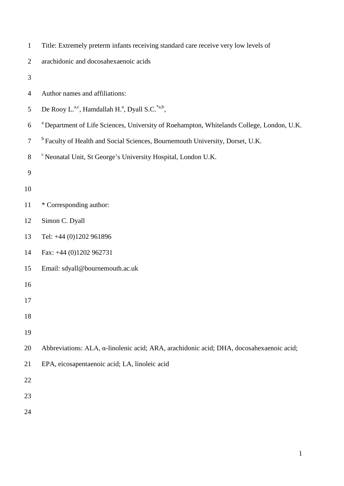| $\mathbf{1}$   | Title: Extremely preterm infants receiving standard care receive very low levels of                  |
|----------------|------------------------------------------------------------------------------------------------------|
| $\overline{2}$ | arachidonic and docosahexaenoic acids                                                                |
| 3              |                                                                                                      |
| $\overline{4}$ | Author names and affiliations:                                                                       |
| 5              | De Rooy L. <sup>a,c</sup> , Hamdallah H. <sup>a</sup> , Dyall S.C. <sup>*a,b</sup> ,                 |
| 6              | <sup>a</sup> Department of Life Sciences, University of Roehampton, Whitelands College, London, U.K. |
| $\overline{7}$ | <sup>b</sup> Faculty of Health and Social Sciences, Bournemouth University, Dorset, U.K.             |
| 8              | <sup>c</sup> Neonatal Unit, St George's University Hospital, London U.K.                             |
| 9              |                                                                                                      |
| 10             |                                                                                                      |
| 11             | * Corresponding author:                                                                              |
| 12             | Simon C. Dyall                                                                                       |
| 13             | Tel: +44 (0)1202 961896                                                                              |
| 14             | Fax: +44 (0)1202 962731                                                                              |
| 15             | Email: sdyall@bournemouth.ac.uk                                                                      |
| 16             |                                                                                                      |
| 17             |                                                                                                      |
| 18             |                                                                                                      |
| 19             |                                                                                                      |
| 20             | Abbreviations: ALA, α-linolenic acid; ARA, arachidonic acid; DHA, docosahexaenoic acid;              |
| 21             | EPA, eicosapentaenoic acid; LA, linoleic acid                                                        |
| 22             |                                                                                                      |
| 23             |                                                                                                      |
|                |                                                                                                      |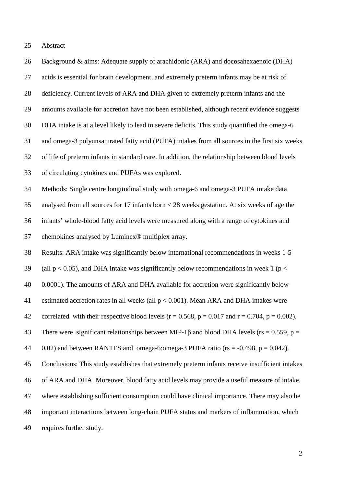Abstract

 acids is essential for brain development, and extremely preterm infants may be at risk of deficiency. Current levels of ARA and DHA given to extremely preterm infants and the amounts available for accretion have not been established, although recent evidence suggests DHA intake is at a level likely to lead to severe deficits. This study quantified the omega-6 and omega-3 polyunsaturated fatty acid (PUFA) intakes from all sources in the first six weeks of life of preterm infants in standard care. In addition, the relationship between blood levels of circulating cytokines and PUFAs was explored. Methods: Single centre longitudinal study with omega-6 and omega-3 PUFA intake data analysed from all sources for 17 infants born < 28 weeks gestation. At six weeks of age the infants' whole-blood fatty acid levels were measured along with a range of cytokines and chemokines analysed by Luminex® multiplex array. Results: ARA intake was significantly below international recommendations in weeks 1-5 39 (all  $p < 0.05$ ), and DHA intake was significantly below recommendations in week 1 ( $p <$  0.0001). The amounts of ARA and DHA available for accretion were significantly below estimated accretion rates in all weeks (all p < 0.001). Mean ARA and DHA intakes were 42 correlated with their respective blood levels ( $r = 0.568$ ,  $p = 0.017$  and  $r = 0.704$ ,  $p = 0.002$ ). 43 There were significant relationships between MIP-1 $\beta$  and blood DHA levels (rs = 0.559, p = 44  $0.02$ ) and between RANTES and omega-6:omega-3 PUFA ratio (rs =  $-0.498$ , p =  $0.042$ ). Conclusions: This study establishes that extremely preterm infants receive insufficient intakes of ARA and DHA. Moreover, blood fatty acid levels may provide a useful measure of intake, where establishing sufficient consumption could have clinical importance. There may also be important interactions between long-chain PUFA status and markers of inflammation, which requires further study.

Background & aims: Adequate supply of arachidonic (ARA) and docosahexaenoic (DHA)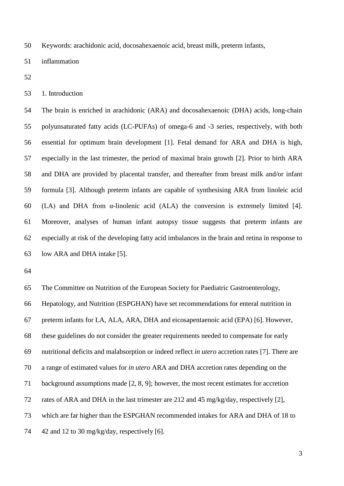Keywords: arachidonic acid, docosahexaenoic acid, breast milk, preterm infants,

inflammation

1. Introduction

 The brain is enriched in arachidonic (ARA) and docosahexaenoic (DHA) acids, long-chain polyunsaturated fatty acids (LC-PUFAs) of omega-6 and -3 series, respectively, with both essential for optimum brain development [1]. Fetal demand for ARA and DHA is high, especially in the last trimester, the period of maximal brain growth [2]. Prior to birth ARA and DHA are provided by placental transfer, and thereafter from breast milk and/or infant formula [3]. Although preterm infants are capable of synthesising ARA from linoleic acid (LA) and DHA from α-linolenic acid (ALA) the conversion is extremely limited [4]. Moreover, analyses of human infant autopsy tissue suggests that preterm infants are especially at risk of the developing fatty acid imbalances in the brain and retina in response to low ARA and DHA intake [5].

 The Committee on Nutrition of the European Society for Paediatric Gastroenterology, Hepatology, and Nutrition (ESPGHAN) have set recommendations for enteral nutrition in preterm infants for LA, ALA, ARA, DHA and eicosapentaenoic acid (EPA) [6]. However, these guidelines do not consider the greater requirements needed to compensate for early nutritional deficits and malabsorption or indeed reflect *in utero* accretion rates [7]. There are a range of estimated values for *in utero* ARA and DHA accretion rates depending on the background assumptions made [2, 8, 9]; however, the most recent estimates for accretion rates of ARA and DHA in the last trimester are 212 and 45 mg/kg/day, respectively [2], which are far higher than the ESPGHAN recommended intakes for ARA and DHA of 18 to  $\,$  42 and 12 to 30 mg/kg/day, respectively [6].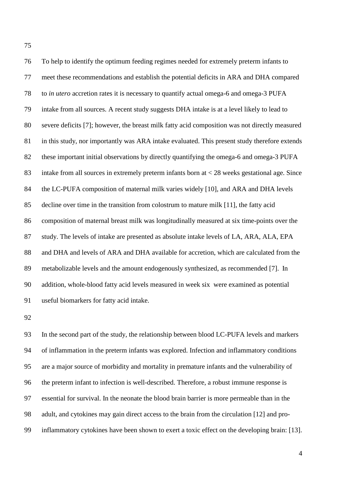To help to identify the optimum feeding regimes needed for extremely preterm infants to meet these recommendations and establish the potential deficits in ARA and DHA compared to *in utero* accretion rates it is necessary to quantify actual omega-6 and omega-3 PUFA intake from all sources. A recent study suggests DHA intake is at a level likely to lead to severe deficits [7]; however, the breast milk fatty acid composition was not directly measured in this study, nor importantly was ARA intake evaluated. This present study therefore extends these important initial observations by directly quantifying the omega-6 and omega-3 PUFA intake from all sources in extremely preterm infants born at < 28 weeks gestational age. Since the LC-PUFA composition of maternal milk varies widely [10], and ARA and DHA levels decline over time in the transition from colostrum to mature milk [11], the fatty acid composition of maternal breast milk was longitudinally measured at six time-points over the study. The levels of intake are presented as absolute intake levels of LA, ARA, ALA, EPA 88 and DHA and levels of ARA and DHA available for accretion, which are calculated from the metabolizable levels and the amount endogenously synthesized, as recommended [7]. In addition, whole-blood fatty acid levels measured in week six were examined as potential useful biomarkers for fatty acid intake.

 In the second part of the study, the relationship between blood LC-PUFA levels and markers of inflammation in the preterm infants was explored. Infection and inflammatory conditions are a major source of morbidity and mortality in premature infants and the vulnerability of the preterm infant to infection is well-described. Therefore, a robust immune response is essential for survival. In the neonate the blood brain barrier is more permeable than in the adult, and cytokines may gain direct access to the brain from the circulation [12] and pro-inflammatory cytokines have been shown to exert a toxic effect on the developing brain: [13].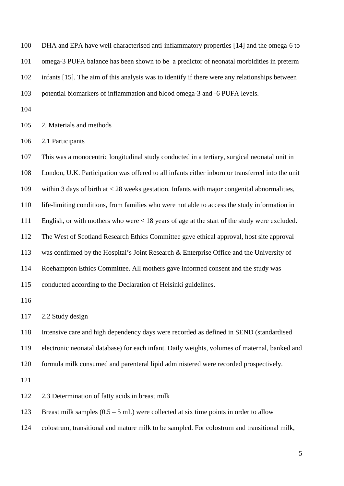DHA and EPA have well characterised anti-inflammatory properties [14] and the omega-6 to omega-3 PUFA balance has been shown to be a predictor of neonatal morbidities in preterm infants [15]. The aim of this analysis was to identify if there were any relationships between potential biomarkers of inflammation and blood omega-3 and -6 PUFA levels.

2. Materials and methods

2.1 Participants

 This was a monocentric longitudinal study conducted in a tertiary, surgical neonatal unit in London, U.K. Participation was offered to all infants either inborn or transferred into the unit within 3 days of birth at < 28 weeks gestation. Infants with major congenital abnormalities, life-limiting conditions, from families who were not able to access the study information in English, or with mothers who were < 18 years of age at the start of the study were excluded. The West of Scotland Research Ethics Committee gave ethical approval, host site approval was confirmed by the Hospital's Joint Research & Enterprise Office and the University of Roehampton Ethics Committee. All mothers gave informed consent and the study was conducted according to the Declaration of Helsinki guidelines. 2.2 Study design Intensive care and high dependency days were recorded as defined in SEND (standardised

electronic neonatal database) for each infant. Daily weights, volumes of maternal, banked and

formula milk consumed and parenteral lipid administered were recorded prospectively.

2.3 Determination of fatty acids in breast milk

123 Breast milk samples  $(0.5 - 5$  mL) were collected at six time points in order to allow

colostrum, transitional and mature milk to be sampled. For colostrum and transitional milk,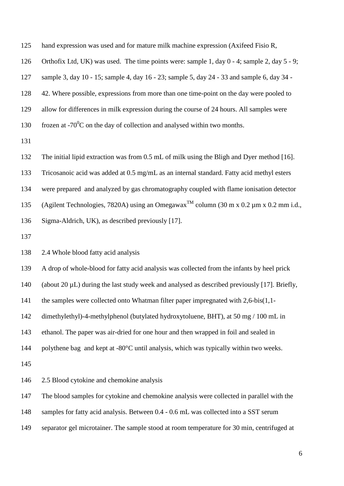hand expression was used and for mature milk machine expression (Axifeed Fisio R,

Orthofix Ltd, UK) was used. The time points were: sample 1, day 0 - 4; sample 2, day 5 - 9;

sample 3, day 10 - 15; sample 4, day 16 - 23; sample 5, day 24 - 33 and sample 6, day 34 -

42. Where possible, expressions from more than one time-point on the day were pooled to

allow for differences in milk expression during the course of 24 hours. All samples were

130 frozen at -70 $\mathrm{^0C}$  on the day of collection and analysed within two months.

 The initial lipid extraction was from 0.5 mL of milk using the Bligh and Dyer method [16]. Tricosanoic acid was added at 0.5 mg/mL as an internal standard. Fatty acid methyl esters were prepared and analyzed by gas chromatography coupled with flame ionisation detector 135 (Agilent Technologies, 7820A) using an Omegawax<sup>TM</sup> column (30 m x 0.2 µm x 0.2 mm i.d., Sigma-Aldrich, UK), as described previously [17]. 

2.4 Whole blood fatty acid analysis

A drop of whole-blood for fatty acid analysis was collected from the infants by heel prick

(about 20 µL) during the last study week and analysed as described previously [17]. Briefly,

the samples were collected onto Whatman filter paper impregnated with 2,6-bis(1,1-

dimethylethyl)-4-methylphenol (butylated hydroxytoluene, BHT), at 50 mg / 100 mL in

ethanol. The paper was air-dried for one hour and then wrapped in foil and sealed in

polythene bag and kept at -80°C until analysis, which was typically within two weeks.

2.5 Blood cytokine and chemokine analysis

The blood samples for cytokine and chemokine analysis were collected in parallel with the

samples for fatty acid analysis. Between 0.4 - 0.6 mL was collected into a SST serum

separator gel microtainer. The sample stood at room temperature for 30 min, centrifuged at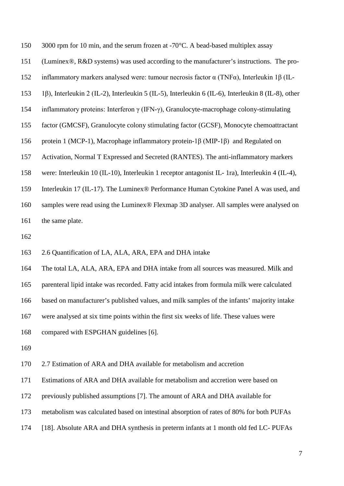| 150 | 3000 rpm for 10 min, and the serum frozen at $-70^{\circ}$ C. A bead-based multiplex assay                      |
|-----|-----------------------------------------------------------------------------------------------------------------|
| 151 | (Luminex®, R&D systems) was used according to the manufacturer's instructions. The pro-                         |
| 152 | inflammatory markers analysed were: tumour necrosis factor $\alpha$ (TNF $\alpha$ ), Interleukin 1 $\beta$ (IL- |
| 153 | 1 $\beta$ ), Interleukin 2 (IL-2), Interleukin 5 (IL-5), Interleukin 6 (IL-6), Interleukin 8 (IL-8), other      |
| 154 | inflammatory proteins: Interferon $\gamma$ (IFN- $\gamma$ ), Granulocyte-macrophage colony-stimulating          |
| 155 | factor (GMCSF), Granulocyte colony stimulating factor (GCSF), Monocyte chemoattractant                          |
| 156 | protein 1 (MCP-1), Macrophage inflammatory protein-1 $\beta$ (MIP-1 $\beta$ ) and Regulated on                  |
| 157 | Activation, Normal T Expressed and Secreted (RANTES). The anti-inflammatory markers                             |
| 158 | were: Interleukin 10 (IL-10), Interleukin 1 receptor antagonist IL-1ra), Interleukin 4 (IL-4),                  |
| 159 | Interleukin 17 (IL-17). The Luminex <sup>®</sup> Performance Human Cytokine Panel A was used, and               |
| 160 | samples were read using the Luminex® Flexmap 3D analyser. All samples were analysed on                          |
| 161 | the same plate.                                                                                                 |

2.6 Quantification of LA, ALA, ARA, EPA and DHA intake

The total LA, ALA, ARA, EPA and DHA intake from all sources was measured. Milk and

parenteral lipid intake was recorded. Fatty acid intakes from formula milk were calculated

based on manufacturer's published values, and milk samples of the infants' majority intake

were analysed at six time points within the first six weeks of life. These values were

compared with ESPGHAN guidelines [6].

2.7 Estimation of ARA and DHA available for metabolism and accretion

Estimations of ARA and DHA available for metabolism and accretion were based on

- previously published assumptions [7]. The amount of ARA and DHA available for
- metabolism was calculated based on intestinal absorption of rates of 80% for both PUFAs
- [18]. Absolute ARA and DHA synthesis in preterm infants at 1 month old fed LC- PUFAs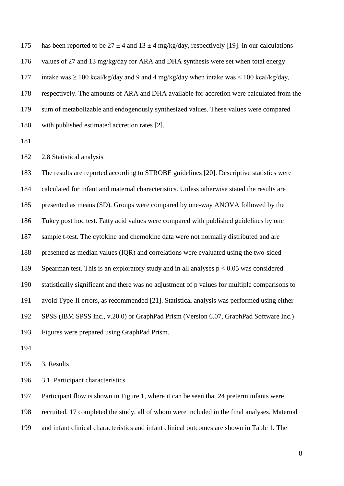175 has been reported to be  $27 \pm 4$  and  $13 \pm 4$  mg/kg/day, respectively [19]. In our calculations values of 27 and 13 mg/kg/day for ARA and DHA synthesis were set when total energy 177 intake was  $\geq 100$  kcal/kg/day and 9 and 4 mg/kg/day when intake was  $\leq 100$  kcal/kg/day, respectively. The amounts of ARA and DHA available for accretion were calculated from the sum of metabolizable and endogenously synthesized values. These values were compared with published estimated accretion rates [2].

2.8 Statistical analysis

 The results are reported according to STROBE guidelines [20]. Descriptive statistics were calculated for infant and maternal characteristics. Unless otherwise stated the results are presented as means (SD). Groups were compared by one-way ANOVA followed by the Tukey post hoc test. Fatty acid values were compared with published guidelines by one sample t-test. The cytokine and chemokine data were not normally distributed and are presented as median values (IQR) and correlations were evaluated using the two-sided 189 Spearman test. This is an exploratory study and in all analyses  $p < 0.05$  was considered statistically significant and there was no adjustment of p values for multiple comparisons to avoid Type-II errors, as recommended [21]. Statistical analysis was performed using either SPSS (IBM SPSS Inc., v.20.0) or GraphPad Prism (Version 6.07, GraphPad Software Inc.) Figures were prepared using GraphPad Prism.

3. Results

3.1. Participant characteristics

Participant flow is shown in Figure 1, where it can be seen that 24 preterm infants were

recruited. 17 completed the study, all of whom were included in the final analyses. Maternal

and infant clinical characteristics and infant clinical outcomes are shown in Table 1. The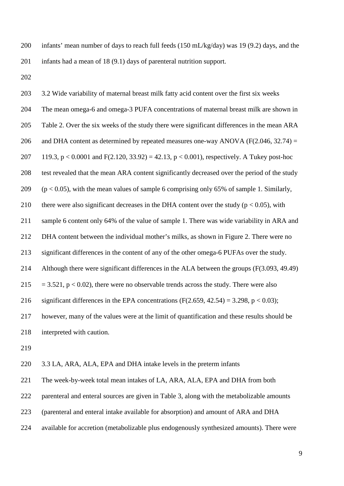- infants' mean number of days to reach full feeds (150 mL/kg/day) was 19 (9.2) days, and the infants had a mean of 18 (9.1) days of parenteral nutrition support.
- 

203 3.2 Wide variability of maternal breast milk fatty acid content over the first six weeks The mean omega-6 and omega-3 PUFA concentrations of maternal breast milk are shown in Table 2. Over the six weeks of the study there were significant differences in the mean ARA 206 and DHA content as determined by repeated measures one-way ANOVA ( $F(2.046, 32.74) =$ 207 119.3,  $p < 0.0001$  and  $F(2.120, 33.92) = 42.13, p < 0.001$ , respectively. A Tukey post-hoc test revealed that the mean ARA content significantly decreased over the period of the study 209  $(p < 0.05)$ , with the mean values of sample 6 comprising only 65% of sample 1. Similarly, 210 there were also significant decreases in the DHA content over the study ( $p < 0.05$ ), with sample 6 content only 64% of the value of sample 1. There was wide variability in ARA and DHA content between the individual mother's milks, as shown in Figure 2. There were no significant differences in the content of any of the other omega-6 PUFAs over the study. Although there were significant differences in the ALA between the groups (F(3.093, 49.49) 215 = 3.521,  $p < 0.02$ ), there were no observable trends across the study. There were also 216 significant differences in the EPA concentrations  $(F(2.659, 42.54) = 3.298, p < 0.03)$ ; however, many of the values were at the limit of quantification and these results should be interpreted with caution. 

- 3.3 LA, ARA, ALA, EPA and DHA intake levels in the preterm infants
- The week-by-week total mean intakes of LA, ARA, ALA, EPA and DHA from both
- parenteral and enteral sources are given in Table 3, along with the metabolizable amounts
- (parenteral and enteral intake available for absorption) and amount of ARA and DHA
- available for accretion (metabolizable plus endogenously synthesized amounts). There were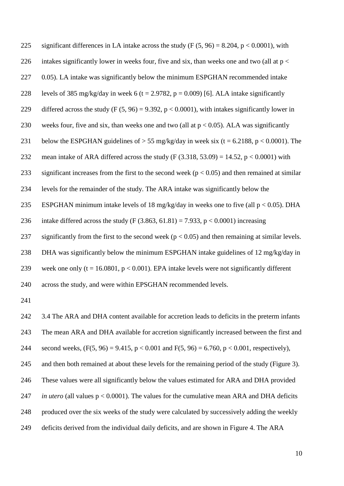225 significant differences in LA intake across the study  $(F (5, 96) = 8.204, p < 0.0001)$ , with 226 intakes significantly lower in weeks four, five and six, than weeks one and two (all at  $p <$ 227 0.05). LA intake was significantly below the minimum ESPGHAN recommended intake 228 levels of 385 mg/kg/day in week 6 (t = 2.9782, p = 0.009) [6]. ALA intake significantly 229 differed across the study (F  $(5, 96) = 9.392$ ,  $p < 0.0001$ ), with intakes significantly lower in 230 weeks four, five and six, than weeks one and two (all at  $p < 0.05$ ). ALA was significantly 231 below the ESPGHAN guidelines of  $> 55$  mg/kg/day in week six (t = 6.2188, p < 0.0001). The 232 mean intake of ARA differed across the study  $(F (3.318, 53.09) = 14.52, p < 0.0001)$  with 233 significant increases from the first to the second week ( $p < 0.05$ ) and then remained at similar 234 levels for the remainder of the study. The ARA intake was significantly below the 235 ESPGHAN minimum intake levels of 18 mg/kg/day in weeks one to five (all  $p < 0.05$ ). DHA 236 intake differed across the study (F  $(3.863, 61.81) = 7.933$ , p < 0.0001) increasing 237 significantly from the first to the second week ( $p < 0.05$ ) and then remaining at similar levels. 238 DHA was significantly below the minimum ESPGHAN intake guidelines of 12 mg/kg/day in 239 week one only (t = 16.0801,  $p < 0.001$ ). EPA intake levels were not significantly different 240 across the study, and were within EPSGHAN recommended levels. 241

242 3.4 The ARA and DHA content available for accretion leads to deficits in the preterm infants 243 The mean ARA and DHA available for accretion significantly increased between the first and

244 second weeks,  $(F(5, 96) = 9.415, p < 0.001$  and  $F(5, 96) = 6.760, p < 0.001$ , respectively).

245 and then both remained at about these levels for the remaining period of the study (Figure 3).

246 These values were all significantly below the values estimated for ARA and DHA provided

247 *in utero* (all values p < 0.0001). The values for the cumulative mean ARA and DHA deficits

248 produced over the six weeks of the study were calculated by successively adding the weekly

249 deficits derived from the individual daily deficits, and are shown in Figure 4. The ARA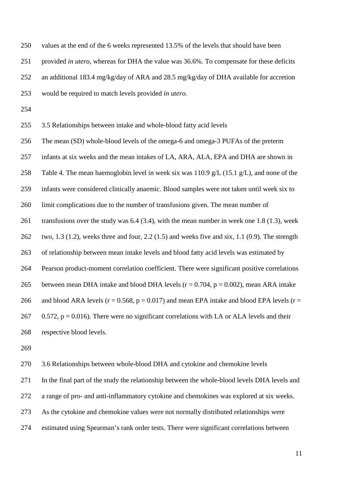values at the end of the 6 weeks represented 13.5% of the levels that should have been

provided *in utero*, whereas for DHA the value was 36.6%. To compensate for these deficits

an additional 183.4 mg/kg/day of ARA and 28.5 mg/kg/day of DHA available for accretion

would be required to match levels provided *in utero*.

3.5 Relationships between intake and whole-blood fatty acid levels

The mean (SD) whole-blood levels of the omega-6 and omega-3 PUFAs of the preterm

infants at six weeks and the mean intakes of LA, ARA, ALA, EPA and DHA are shown in

258 Table 4. The mean haemoglobin level in week six was 110.9 g/L (15.1 g/L), and none of the

infants were considered clinically anaemic. Blood samples were not taken until week six to

limit complications due to the number of transfusions given. The mean number of

transfusions over the study was 6.4 (3.4), with the mean number in week one 1.8 (1.3), week

two, 1.3 (1.2), weeks three and four, 2.2 (1.5) and weeks five and six, 1.1 (0.9). The strength

of relationship between mean intake levels and blood fatty acid levels was estimated by

Pearson product-moment correlation coefficient. There were significant positive correlations

265 between mean DHA intake and blood DHA levels ( $r = 0.704$ ,  $p = 0.002$ ), mean ARA intake

266 and blood ARA levels ( $r = 0.568$ ,  $p = 0.017$ ) and mean EPA intake and blood EPA levels ( $r =$ 

267 0.572,  $p = 0.016$ ). There were no significant correlations with LA or ALA levels and their

respective blood levels.

 3.6 Relationships between whole-blood DHA and cytokine and chemokine levels In the final part of the study the relationship between the whole-blood levels DHA levels and a range of pro- and anti-inflammatory cytokine and chemokines was explored at six weeks. As the cytokine and chemokine values were not normally distributed relationships were estimated using Spearman's rank order tests. There were significant correlations between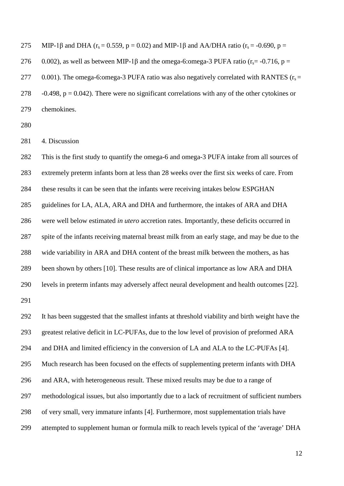275 MIP-1 $\beta$  and DHA (r<sub>s</sub> = 0.559, p = 0.02) and MIP-1 $\beta$  and AA/DHA ratio (r<sub>s</sub> = -0.690, p =

276 0.002), as well as between MIP-1B and the omega-6:omega-3 PUFA ratio ( $r_s$  = -0.716, p =

277 0.001). The omega-6:omega-3 PUFA ratio was also negatively correlated with RANTES ( $r_s$  =

278  $-0.498$ ,  $p = 0.042$ ). There were no significant correlations with any of the other cytokines or chemokines.

4. Discussion

 This is the first study to quantify the omega-6 and omega-3 PUFA intake from all sources of extremely preterm infants born at less than 28 weeks over the first six weeks of care. From these results it can be seen that the infants were receiving intakes below ESPGHAN guidelines for LA, ALA, ARA and DHA and furthermore, the intakes of ARA and DHA were well below estimated *in utero* accretion rates. Importantly, these deficits occurred in spite of the infants receiving maternal breast milk from an early stage, and may be due to the wide variability in ARA and DHA content of the breast milk between the mothers, as has been shown by others [10]. These results are of clinical importance as low ARA and DHA levels in preterm infants may adversely affect neural development and health outcomes [22]. It has been suggested that the smallest infants at threshold viability and birth weight have the greatest relative deficit in LC-PUFAs, due to the low level of provision of preformed ARA and DHA and limited efficiency in the conversion of LA and ALA to the LC-PUFAs [4]. Much research has been focused on the effects of supplementing preterm infants with DHA and ARA, with heterogeneous result. These mixed results may be due to a range of methodological issues, but also importantly due to a lack of recruitment of sufficient numbers of very small, very immature infants [4]. Furthermore, most supplementation trials have attempted to supplement human or formula milk to reach levels typical of the 'average' DHA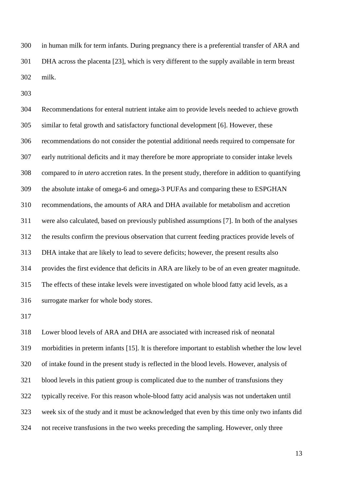in human milk for term infants. During pregnancy there is a preferential transfer of ARA and DHA across the placenta [23], which is very different to the supply available in term breast milk.

 Recommendations for enteral nutrient intake aim to provide levels needed to achieve growth similar to fetal growth and satisfactory functional development [6]. However, these recommendations do not consider the potential additional needs required to compensate for early nutritional deficits and it may therefore be more appropriate to consider intake levels compared to *in utero* accretion rates. In the present study, therefore in addition to quantifying the absolute intake of omega-6 and omega-3 PUFAs and comparing these to ESPGHAN recommendations, the amounts of ARA and DHA available for metabolism and accretion were also calculated, based on previously published assumptions [7]. In both of the analyses the results confirm the previous observation that current feeding practices provide levels of DHA intake that are likely to lead to severe deficits; however, the present results also provides the first evidence that deficits in ARA are likely to be of an even greater magnitude. The effects of these intake levels were investigated on whole blood fatty acid levels, as a surrogate marker for whole body stores.

 Lower blood levels of ARA and DHA are associated with increased risk of neonatal morbidities in preterm infants [15]. It is therefore important to establish whether the low level of intake found in the present study is reflected in the blood levels. However, analysis of blood levels in this patient group is complicated due to the number of transfusions they typically receive. For this reason whole-blood fatty acid analysis was not undertaken until week six of the study and it must be acknowledged that even by this time only two infants did not receive transfusions in the two weeks preceding the sampling. However, only three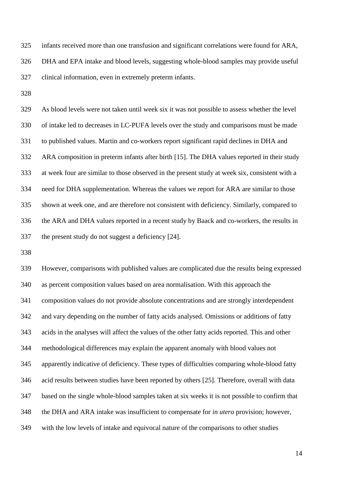infants received more than one transfusion and significant correlations were found for ARA, DHA and EPA intake and blood levels, suggesting whole-blood samples may provide useful clinical information, even in extremely preterm infants.

 As blood levels were not taken until week six it was not possible to assess whether the level of intake led to decreases in LC-PUFA levels over the study and comparisons must be made to published values. Martin and co-workers report significant rapid declines in DHA and ARA composition in preterm infants after birth [15]. The DHA values reported in their study at week four are similar to those observed in the present study at week six, consistent with a need for DHA supplementation. Whereas the values we report for ARA are similar to those shown at week one, and are therefore not consistent with deficiency. Similarly, compared to the ARA and DHA values reported in a recent study by Baack and co-workers, the results in the present study do not suggest a deficiency [24].

 However, comparisons with published values are complicated due the results being expressed as percent composition values based on area normalisation. With this approach the composition values do not provide absolute concentrations and are strongly interdependent and vary depending on the number of fatty acids analysed. Omissions or additions of fatty acids in the analyses will affect the values of the other fatty acids reported. This and other methodological differences may explain the apparent anomaly with blood values not apparently indicative of deficiency. These types of difficulties comparing whole-blood fatty acid results between studies have been reported by others [25]. Therefore, overall with data based on the single whole-blood samples taken at six weeks it is not possible to confirm that the DHA and ARA intake was insufficient to compensate for *in utero* provision; however, with the low levels of intake and equivocal nature of the comparisons to other studies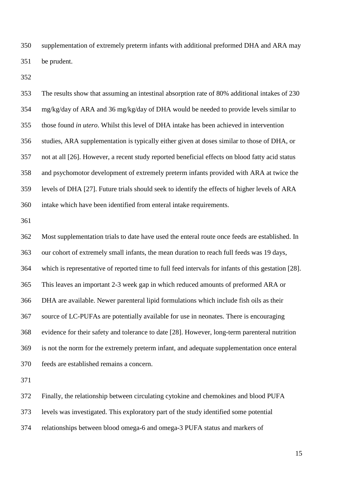supplementation of extremely preterm infants with additional preformed DHA and ARA may be prudent.

 The results show that assuming an intestinal absorption rate of 80% additional intakes of 230 mg/kg/day of ARA and 36 mg/kg/day of DHA would be needed to provide levels similar to those found *in utero*. Whilst this level of DHA intake has been achieved in intervention studies, ARA supplementation is typically either given at doses similar to those of DHA, or not at all [26]. However, a recent study reported beneficial effects on blood fatty acid status and psychomotor development of extremely preterm infants provided with ARA at twice the levels of DHA [27]. Future trials should seek to identify the effects of higher levels of ARA intake which have been identified from enteral intake requirements.

 Most supplementation trials to date have used the enteral route once feeds are established. In our cohort of extremely small infants, the mean duration to reach full feeds was 19 days, which is representative of reported time to full feed intervals for infants of this gestation [28]. This leaves an important 2-3 week gap in which reduced amounts of preformed ARA or DHA are available. Newer parenteral lipid formulations which include fish oils as their source of LC-PUFAs are potentially available for use in neonates. There is encouraging evidence for their safety and tolerance to date [28]. However, long-term parenteral nutrition is not the norm for the extremely preterm infant, and adequate supplementation once enteral feeds are established remains a concern.

Finally, the relationship between circulating cytokine and chemokines and blood PUFA

levels was investigated. This exploratory part of the study identified some potential

relationships between blood omega-6 and omega-3 PUFA status and markers of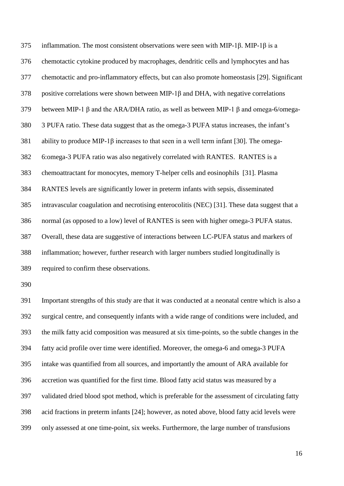inflammation. The most consistent observations were seen with MIP-1β. MIP-1β is a chemotactic cytokine produced by macrophages, dendritic cells and lymphocytes and has chemotactic and pro-inflammatory effects, but can also promote homeostasis [29]. Significant positive correlations were shown between MIP-1β and DHA, with negative correlations between MIP-1 β and the ARA/DHA ratio, as well as between MIP-1 β and omega-6/omega- 3 PUFA ratio. These data suggest that as the omega-3 PUFA status increases, the infant's ability to produce MIP-1β increases to that seen in a well term infant [30]. The omega- 6:omega-3 PUFA ratio was also negatively correlated with RANTES. RANTES is a chemoattractant for monocytes, memory T-helper cells and eosinophils [31]. Plasma RANTES levels are significantly lower in preterm infants with sepsis, disseminated intravascular coagulation and necrotising enterocolitis (NEC) [31]. These data suggest that a normal (as opposed to a low) level of RANTES is seen with higher omega-3 PUFA status. Overall, these data are suggestive of interactions between LC-PUFA status and markers of inflammation; however, further research with larger numbers studied longitudinally is required to confirm these observations.

 Important strengths of this study are that it was conducted at a neonatal centre which is also a surgical centre, and consequently infants with a wide range of conditions were included, and the milk fatty acid composition was measured at six time-points, so the subtle changes in the fatty acid profile over time were identified. Moreover, the omega-6 and omega-3 PUFA intake was quantified from all sources, and importantly the amount of ARA available for accretion was quantified for the first time. Blood fatty acid status was measured by a validated dried blood spot method, which is preferable for the assessment of circulating fatty acid fractions in preterm infants [24]; however, as noted above, blood fatty acid levels were only assessed at one time-point, six weeks. Furthermore, the large number of transfusions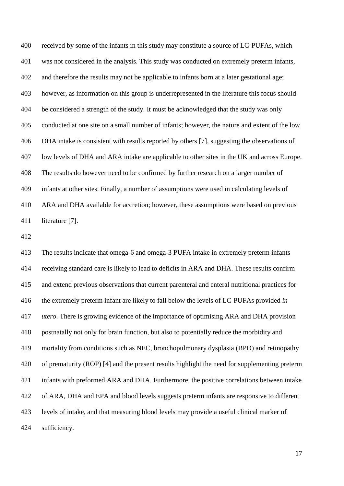received by some of the infants in this study may constitute a source of LC-PUFAs, which was not considered in the analysis. This study was conducted on extremely preterm infants, and therefore the results may not be applicable to infants born at a later gestational age; however, as information on this group is underrepresented in the literature this focus should be considered a strength of the study. It must be acknowledged that the study was only conducted at one site on a small number of infants; however, the nature and extent of the low DHA intake is consistent with results reported by others [7], suggesting the observations of low levels of DHA and ARA intake are applicable to other sites in the UK and across Europe. The results do however need to be confirmed by further research on a larger number of infants at other sites. Finally, a number of assumptions were used in calculating levels of ARA and DHA available for accretion; however, these assumptions were based on previous literature [7].

 The results indicate that omega-6 and omega-3 PUFA intake in extremely preterm infants receiving standard care is likely to lead to deficits in ARA and DHA. These results confirm and extend previous observations that current parenteral and enteral nutritional practices for the extremely preterm infant are likely to fall below the levels of LC-PUFAs provided *in utero*. There is growing evidence of the importance of optimising ARA and DHA provision postnatally not only for brain function, but also to potentially reduce the morbidity and mortality from conditions such as NEC, bronchopulmonary dysplasia (BPD) and retinopathy of prematurity (ROP) [4] and the present results highlight the need for supplementing preterm infants with preformed ARA and DHA. Furthermore, the positive correlations between intake of ARA, DHA and EPA and blood levels suggests preterm infants are responsive to different levels of intake, and that measuring blood levels may provide a useful clinical marker of sufficiency.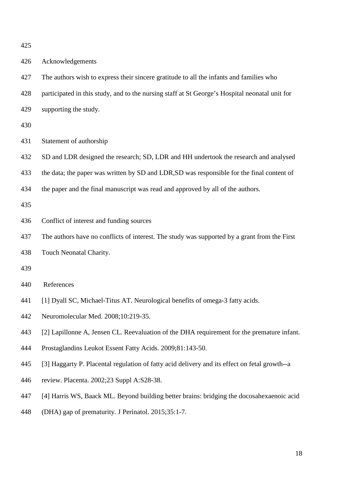| I<br>v |
|--------|
|--------|

| 426 | Acknowledgements                                                                               |
|-----|------------------------------------------------------------------------------------------------|
| 427 | The authors wish to express their sincere gratitude to all the infants and families who        |
| 428 | participated in this study, and to the nursing staff at St George's Hospital neonatal unit for |
| 429 | supporting the study.                                                                          |
| 430 |                                                                                                |
| 431 | Statement of authorship                                                                        |
| 432 | SD and LDR designed the research; SD, LDR and HH undertook the research and analysed           |
| 433 | the data; the paper was written by SD and LDR, SD was responsible for the final content of     |
| 434 | the paper and the final manuscript was read and approved by all of the authors.                |
| 435 |                                                                                                |
| 436 | Conflict of interest and funding sources                                                       |
| 437 | The authors have no conflicts of interest. The study was supported by a grant from the First   |
| 438 | Touch Neonatal Charity.                                                                        |
| 439 |                                                                                                |
| 440 | References                                                                                     |
| 441 | [1] Dyall SC, Michael-Titus AT. Neurological benefits of omega-3 fatty acids.                  |
| 442 | Neuromolecular Med. 2008;10:219-35.                                                            |
| 443 | [2] Lapillonne A, Jensen CL. Reevaluation of the DHA requirement for the premature infant.     |
| 444 | Prostaglandins Leukot Essent Fatty Acids. 2009;81:143-50.                                      |
| 445 | [3] Haggarty P. Placental regulation of fatty acid delivery and its effect on fetal growth--a  |
| 446 | review. Placenta. 2002;23 Suppl A:S28-38.                                                      |
| 447 | [4] Harris WS, Baack ML. Beyond building better brains: bridging the docosahexaenoic acid      |
| 448 | (DHA) gap of prematurity. J Perinatol. 2015;35:1-7.                                            |
|     |                                                                                                |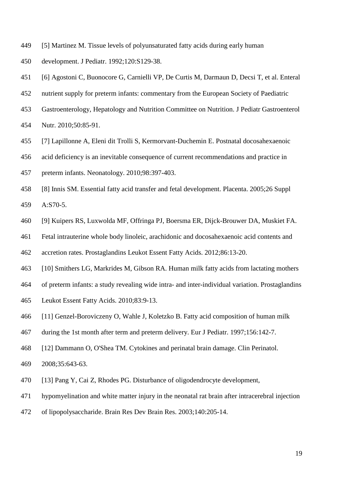- [5] Martinez M. Tissue levels of polyunsaturated fatty acids during early human
- development. J Pediatr. 1992;120:S129-38.
- [6] Agostoni C, Buonocore G, Carnielli VP, De Curtis M, Darmaun D, Decsi T, et al. Enteral
- nutrient supply for preterm infants: commentary from the European Society of Paediatric
- Gastroenterology, Hepatology and Nutrition Committee on Nutrition. J Pediatr Gastroenterol
- Nutr. 2010;50:85-91.
- [7] Lapillonne A, Eleni dit Trolli S, Kermorvant-Duchemin E. Postnatal docosahexaenoic
- acid deficiency is an inevitable consequence of current recommendations and practice in
- preterm infants. Neonatology. 2010;98:397-403.
- [8] Innis SM. Essential fatty acid transfer and fetal development. Placenta. 2005;26 Suppl A:S70-5.
- [9] Kuipers RS, Luxwolda MF, Offringa PJ, Boersma ER, Dijck-Brouwer DA, Muskiet FA.
- Fetal intrauterine whole body linoleic, arachidonic and docosahexaenoic acid contents and
- accretion rates. Prostaglandins Leukot Essent Fatty Acids. 2012;86:13-20.
- [10] Smithers LG, Markrides M, Gibson RA. Human milk fatty acids from lactating mothers
- of preterm infants: a study revealing wide intra- and inter-individual variation. Prostaglandins
- Leukot Essent Fatty Acids. 2010;83:9-13.
- [11] Genzel-Boroviczeny O, Wahle J, Koletzko B. Fatty acid composition of human milk
- during the 1st month after term and preterm delivery. Eur J Pediatr. 1997;156:142-7.
- [12] Dammann O, O'Shea TM. Cytokines and perinatal brain damage. Clin Perinatol.
- 2008;35:643-63.
- [13] Pang Y, Cai Z, Rhodes PG. Disturbance of oligodendrocyte development,
- hypomyelination and white matter injury in the neonatal rat brain after intracerebral injection
- of lipopolysaccharide. Brain Res Dev Brain Res. 2003;140:205-14.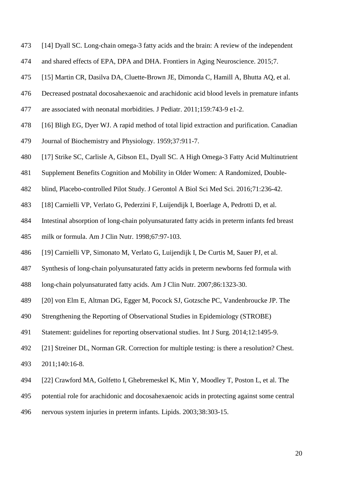- [14] Dyall SC. Long-chain omega-3 fatty acids and the brain: A review of the independent
- and shared effects of EPA, DPA and DHA. Frontiers in Aging Neuroscience. 2015;7.
- [15] Martin CR, Dasilva DA, Cluette-Brown JE, Dimonda C, Hamill A, Bhutta AQ, et al.
- Decreased postnatal docosahexaenoic and arachidonic acid blood levels in premature infants
- are associated with neonatal morbidities. J Pediatr. 2011;159:743-9 e1-2.
- [16] Bligh EG, Dyer WJ. A rapid method of total lipid extraction and purification. Canadian
- Journal of Biochemistry and Physiology. 1959;37:911-7.
- [17] Strike SC, Carlisle A, Gibson EL, Dyall SC. A High Omega-3 Fatty Acid Multinutrient
- Supplement Benefits Cognition and Mobility in Older Women: A Randomized, Double-
- blind, Placebo-controlled Pilot Study. J Gerontol A Biol Sci Med Sci. 2016;71:236-42.
- [18] Carnielli VP, Verlato G, Pederzini F, Luijendijk I, Boerlage A, Pedrotti D, et al.
- Intestinal absorption of long-chain polyunsaturated fatty acids in preterm infants fed breast
- milk or formula. Am J Clin Nutr. 1998;67:97-103.
- [19] Carnielli VP, Simonato M, Verlato G, Luijendijk I, De Curtis M, Sauer PJ, et al.
- Synthesis of long-chain polyunsaturated fatty acids in preterm newborns fed formula with
- long-chain polyunsaturated fatty acids. Am J Clin Nutr. 2007;86:1323-30.
- [20] von Elm E, Altman DG, Egger M, Pocock SJ, Gotzsche PC, Vandenbroucke JP. The
- Strengthening the Reporting of Observational Studies in Epidemiology (STROBE)
- Statement: guidelines for reporting observational studies. Int J Surg. 2014;12:1495-9.
- [21] Streiner DL, Norman GR. Correction for multiple testing: is there a resolution? Chest. 2011;140:16-8.
- [22] Crawford MA, Golfetto I, Ghebremeskel K, Min Y, Moodley T, Poston L, et al. The
- potential role for arachidonic and docosahexaenoic acids in protecting against some central
- nervous system injuries in preterm infants. Lipids. 2003;38:303-15.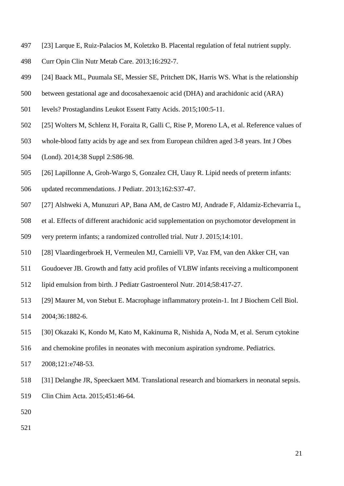- [23] Larque E, Ruiz-Palacios M, Koletzko B. Placental regulation of fetal nutrient supply.
- Curr Opin Clin Nutr Metab Care. 2013;16:292-7.
- [24] Baack ML, Puumala SE, Messier SE, Pritchett DK, Harris WS. What is the relationship
- between gestational age and docosahexaenoic acid (DHA) and arachidonic acid (ARA)
- levels? Prostaglandins Leukot Essent Fatty Acids. 2015;100:5-11.
- [25] Wolters M, Schlenz H, Foraita R, Galli C, Rise P, Moreno LA, et al. Reference values of
- whole-blood fatty acids by age and sex from European children aged 3-8 years. Int J Obes
- (Lond). 2014;38 Suppl 2:S86-98.
- [26] Lapillonne A, Groh-Wargo S, Gonzalez CH, Uauy R. Lipid needs of preterm infants:
- updated recommendations. J Pediatr. 2013;162:S37-47.
- [27] Alshweki A, Munuzuri AP, Bana AM, de Castro MJ, Andrade F, Aldamiz-Echevarria L,
- et al. Effects of different arachidonic acid supplementation on psychomotor development in
- very preterm infants; a randomized controlled trial. Nutr J. 2015;14:101.
- [28] Vlaardingerbroek H, Vermeulen MJ, Carnielli VP, Vaz FM, van den Akker CH, van
- Goudoever JB. Growth and fatty acid profiles of VLBW infants receiving a multicomponent
- lipid emulsion from birth. J Pediatr Gastroenterol Nutr. 2014;58:417-27.
- [29] Maurer M, von Stebut E. Macrophage inflammatory protein-1. Int J Biochem Cell Biol. 2004;36:1882-6.
- [30] Okazaki K, Kondo M, Kato M, Kakinuma R, Nishida A, Noda M, et al. Serum cytokine
- and chemokine profiles in neonates with meconium aspiration syndrome. Pediatrics.
- 2008;121:e748-53.
- [31] Delanghe JR, Speeckaert MM. Translational research and biomarkers in neonatal sepsis. Clin Chim Acta. 2015;451:46-64.
- 
-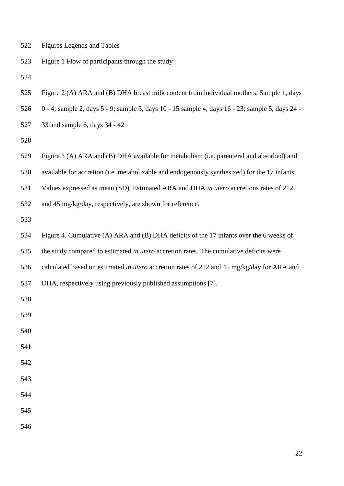- Figures Legends and Tables
- Figure 1 Flow of participants through the study
- 
- Figure 2 (A) ARA and (B) DHA breast milk content from individual mothers. Sample 1, days
- 0 4; sample 2, days 5 9; sample 3, days 10 15 sample 4, days 16 23; sample 5, days 24 -
- 33 and sample 6, days 34 42
- 
- Figure 3 (A) ARA and (B) DHA available for metabolism (i.e. parenteral and absorbed) and
- available for accretion (i.e. metabolizable and endogenously synthesized) for the 17 infants.
- Values expressed as mean (SD). Estimated ARA and DHA *in utero* accretions rates of 212
- and 45 mg/kg/day, respectively, are shown for reference.
- 
- Figure 4. Cumulative (A) ARA and (B) DHA deficits of the 17 infants over the 6 weeks of
- the study compared to estimated *in utero* accretion rates. The cumulative deficits were
- calculated based on estimated *in utero* accretion rates of 212 and 45 mg/kg/day for ARA and
- DHA, respectively using previously published assumptions [7].
- 
- 
- 
- 
- 
- 
- 
- 
- 
-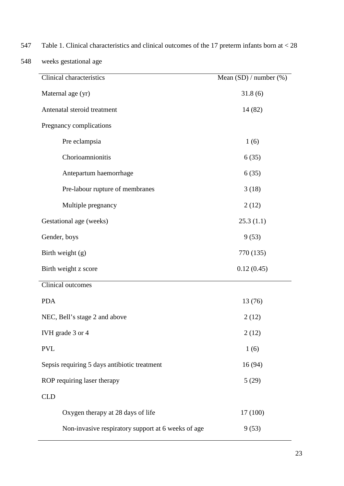| <b>Clinical characteristics</b>                    | Mean $(SD)$ / number $(\%)$ |
|----------------------------------------------------|-----------------------------|
| Maternal age (yr)                                  | 31.8(6)                     |
| Antenatal steroid treatment                        | 14 (82)                     |
| Pregnancy complications                            |                             |
| Pre eclampsia                                      | 1(6)                        |
| Chorioamnionitis                                   | 6(35)                       |
| Antepartum haemorrhage                             | 6(35)                       |
| Pre-labour rupture of membranes                    | 3(18)                       |
| Multiple pregnancy                                 | 2(12)                       |
| Gestational age (weeks)                            | 25.3(1.1)                   |
| Gender, boys                                       | 9(53)                       |
| Birth weight (g)                                   | 770 (135)                   |
| Birth weight z score                               | 0.12(0.45)                  |
| Clinical outcomes                                  |                             |
| <b>PDA</b>                                         | 13 (76)                     |
| NEC, Bell's stage 2 and above                      | 2(12)                       |
| IVH grade 3 or 4                                   | 2(12)                       |
| <b>PVL</b>                                         | 1(6)                        |
| Sepsis requiring 5 days antibiotic treatment       | 16(94)                      |
| ROP requiring laser therapy                        | 5(29)                       |
| <b>CLD</b>                                         |                             |
| Oxygen therapy at 28 days of life                  | 17 (100)                    |
| Non-invasive respiratory support at 6 weeks of age | 9(53)                       |

547 Table 1. Clinical characteristics and clinical outcomes of the 17 preterm infants born at < 28

548 weeks gestational age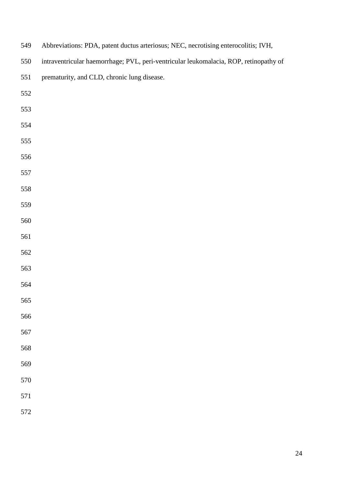| 549 | Abbreviations: PDA, patent ductus arteriosus; NEC, necrotising enterocolitis; IVH,    |
|-----|---------------------------------------------------------------------------------------|
| 550 | intraventricular haemorrhage; PVL, peri-ventricular leukomalacia, ROP, retinopathy of |
| 551 | prematurity, and CLD, chronic lung disease.                                           |
| 552 |                                                                                       |
| 553 |                                                                                       |
| 554 |                                                                                       |
| 555 |                                                                                       |
| 556 |                                                                                       |
| 557 |                                                                                       |
| 558 |                                                                                       |
| 559 |                                                                                       |
| 560 |                                                                                       |
| 561 |                                                                                       |
| 562 |                                                                                       |
| 563 |                                                                                       |
| 564 |                                                                                       |
| 565 |                                                                                       |
| 566 |                                                                                       |
| 567 |                                                                                       |
| 568 |                                                                                       |
| 569 |                                                                                       |
| 570 |                                                                                       |
| 571 |                                                                                       |
| 572 |                                                                                       |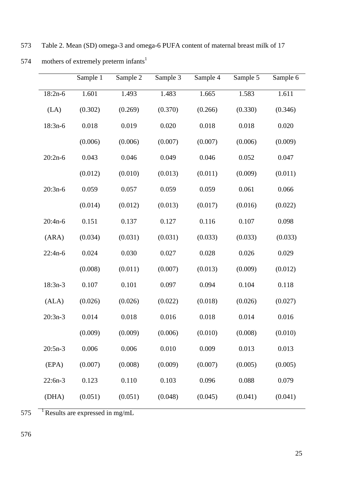|           | Sample 1 | Sample 2 | Sample 3 | Sample 4 | Sample 5 | Sample 6 |
|-----------|----------|----------|----------|----------|----------|----------|
| $18:2n-6$ | 1.601    | 1.493    | 1.483    | 1.665    | 1.583    | 1.611    |
| (LA)      | (0.302)  | (0.269)  | (0.370)  | (0.266)  | (0.330)  | (0.346)  |
| $18:3n-6$ | 0.018    | 0.019    | 0.020    | 0.018    | 0.018    | 0.020    |
|           | (0.006)  | (0.006)  | (0.007)  | (0.007)  | (0.006)  | (0.009)  |
| $20:2n-6$ | 0.043    | 0.046    | 0.049    | 0.046    | 0.052    | 0.047    |
|           | (0.012)  | (0.010)  | (0.013)  | (0.011)  | (0.009)  | (0.011)  |
| $20:3n-6$ | 0.059    | 0.057    | 0.059    | 0.059    | 0.061    | 0.066    |
|           | (0.014)  | (0.012)  | (0.013)  | (0.017)  | (0.016)  | (0.022)  |
| $20:4n-6$ | 0.151    | 0.137    | 0.127    | 0.116    | 0.107    | 0.098    |
| (ARA)     | (0.034)  | (0.031)  | (0.031)  | (0.033)  | (0.033)  | (0.033)  |
| $22:4n-6$ | 0.024    | 0.030    | 0.027    | 0.028    | 0.026    | 0.029    |
|           | (0.008)  | (0.011)  | (0.007)  | (0.013)  | (0.009)  | (0.012)  |
| $18:3n-3$ | 0.107    | 0.101    | 0.097    | 0.094    | 0.104    | 0.118    |
| (ALA)     | (0.026)  | (0.026)  | (0.022)  | (0.018)  | (0.026)  | (0.027)  |
| $20:3n-3$ | 0.014    | 0.018    | 0.016    | 0.018    | 0.014    | 0.016    |
|           | (0.009)  | (0.009)  | (0.006)  | (0.010)  | (0.008)  | (0.010)  |
| $20:5n-3$ | 0.006    | 0.006    | 0.010    | 0.009    | 0.013    | 0.013    |
| (EPA)     | (0.007)  | (0.008)  | (0.009)  | (0.007)  | (0.005)  | (0.005)  |
| $22:6n-3$ | 0.123    | 0.110    | 0.103    | 0.096    | 0.088    | 0.079    |
| (DHA)     | (0.051)  | (0.051)  | (0.048)  | (0.045)  | (0.041)  | (0.041)  |
|           |          |          |          |          |          |          |

574 mothers of extremely preterm infants<sup>1</sup>

575 Results are expressed in mg/mL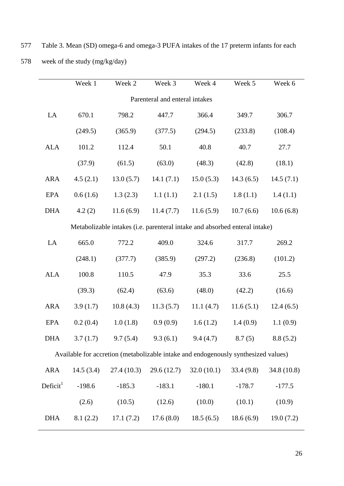| Week 1                                                                             | Week 2     | Week 3     | Week 4     | Week 5    | Week 6                                                                     |  |
|------------------------------------------------------------------------------------|------------|------------|------------|-----------|----------------------------------------------------------------------------|--|
| Parenteral and enteral intakes                                                     |            |            |            |           |                                                                            |  |
| 670.1                                                                              | 798.2      | 447.7      | 366.4      | 349.7     | 306.7                                                                      |  |
| (249.5)                                                                            | (365.9)    | (377.5)    | (294.5)    | (233.8)   | (108.4)                                                                    |  |
| 101.2                                                                              | 112.4      | 50.1       | 40.8       | 40.7      | 27.7                                                                       |  |
| (37.9)                                                                             | (61.5)     | (63.0)     | (48.3)     | (42.8)    | (18.1)                                                                     |  |
| 4.5(2.1)                                                                           | 13.0(5.7)  | 14.1(7.1)  | 15.0(5.3)  | 14.3(6.5) | 14.5(7.1)                                                                  |  |
| 0.6(1.6)                                                                           | 1.3(2.3)   | 1.1(1.1)   | 2.1(1.5)   | 1.8(1.1)  | 1.4(1.1)                                                                   |  |
| 4.2(2)                                                                             | 11.6(6.9)  | 11.4(7.7)  | 11.6(5.9)  | 10.7(6.6) | 10.6(6.8)                                                                  |  |
|                                                                                    |            |            |            |           |                                                                            |  |
| 665.0                                                                              | 772.2      | 409.0      | 324.6      | 317.7     | 269.2                                                                      |  |
| (248.1)                                                                            | (377.7)    | (385.9)    | (297.2)    | (236.8)   | (101.2)                                                                    |  |
| 100.8                                                                              | 110.5      | 47.9       | 35.3       | 33.6      | 25.5                                                                       |  |
| (39.3)                                                                             | (62.4)     | (63.6)     | (48.0)     | (42.2)    | (16.6)                                                                     |  |
| 3.9(1.7)                                                                           | 10.8(4.3)  | 11.3(5.7)  | 11.1(4.7)  | 11.6(5.1) | 12.4(6.5)                                                                  |  |
| 0.2(0.4)                                                                           | 1.0(1.8)   | 0.9(0.9)   | 1.6(1.2)   | 1.4(0.9)  | 1.1(0.9)                                                                   |  |
| 3.7(1.7)                                                                           | 9.7(5.4)   | 9.3(6.1)   | 9.4(4.7)   | 8.7(5)    | 8.8(5.2)                                                                   |  |
| Available for accretion (metabolizable intake and endogenously synthesized values) |            |            |            |           |                                                                            |  |
| 14.5(3.4)                                                                          | 27.4(10.3) | 29.6(12.7) | 32.0(10.1) | 33.4(9.8) | 34.8 (10.8)                                                                |  |
| $-198.6$                                                                           | $-185.3$   | $-183.1$   | $-180.1$   | $-178.7$  | $-177.5$                                                                   |  |
| (2.6)                                                                              | (10.5)     | (12.6)     | (10.0)     | (10.1)    | (10.9)                                                                     |  |
| 8.1(2.2)                                                                           | 17.1(7.2)  | 17.6(8.0)  | 18.5(6.5)  | 18.6(6.9) | 19.0(7.2)                                                                  |  |
|                                                                                    |            |            |            |           | Metabolizable intakes (i.e. parenteral intake and absorbed enteral intake) |  |

577 Table 3. Mean (SD) omega-6 and omega-3 PUFA intakes of the 17 preterm infants for each 578 week of the study (mg/kg/day)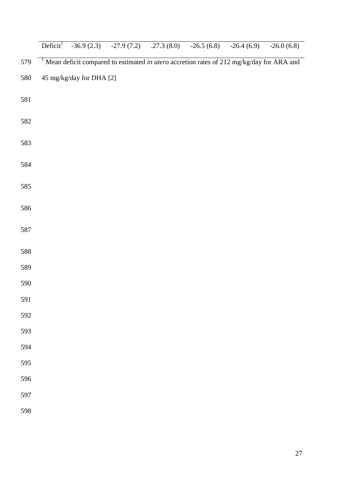|     |                          |  | Deficit <sup>1</sup> -36.9 (2.3) -27.9 (7.2) .27.3 (8.0) -26.5 (6.8) -26.4 (6.9)                      | $-26.0(6.8)$ |
|-----|--------------------------|--|-------------------------------------------------------------------------------------------------------|--------------|
| 579 |                          |  | <sup>1</sup> Mean deficit compared to estimated in utero accretion rates of 212 mg/kg/day for ARA and |              |
| 580 | 45 mg/kg/day for DHA [2] |  |                                                                                                       |              |
| 581 |                          |  |                                                                                                       |              |
| 582 |                          |  |                                                                                                       |              |
| 583 |                          |  |                                                                                                       |              |
| 584 |                          |  |                                                                                                       |              |
| 585 |                          |  |                                                                                                       |              |
| 586 |                          |  |                                                                                                       |              |
| 587 |                          |  |                                                                                                       |              |
| 588 |                          |  |                                                                                                       |              |
| 589 |                          |  |                                                                                                       |              |
| 590 |                          |  |                                                                                                       |              |
| 591 |                          |  |                                                                                                       |              |
| 592 |                          |  |                                                                                                       |              |
| 593 |                          |  |                                                                                                       |              |
| 594 |                          |  |                                                                                                       |              |
| 595 |                          |  |                                                                                                       |              |
| 596 |                          |  |                                                                                                       |              |
| 597 |                          |  |                                                                                                       |              |
| 598 |                          |  |                                                                                                       |              |